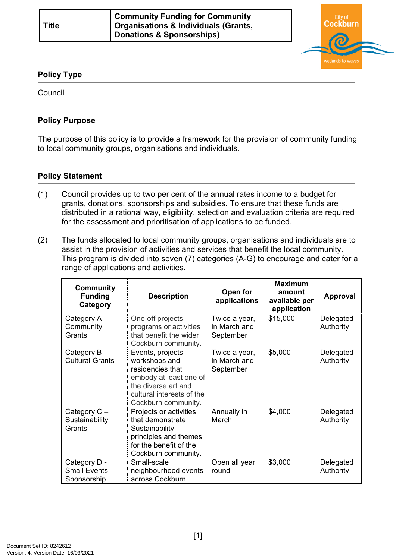

## **Policy Type**

Council

## **Policy Purpose**

The purpose of this policy is to provide a framework for the provision of community funding to local community groups, organisations and individuals.

## **[Policy Statement](#page-0-0)**

- <span id="page-0-0"></span>(1) Council provides up to two per cent of the annual rates income to a budget for grants, donations, sponsorships and subsidies. To ensure that these funds are distributed in a rational way, eligibility, selection and evaluation criteria are required for the assessment and prioritisation of applications to be funded.
- (2) The funds allocated to local community groups, organisations and individuals are to assist in the provision of activities and services that benefit the local community. This program is divided into seven (7) categories (A-G) to encourage and cater for a range of applications and activities.

| <b>Community</b><br><b>Funding</b><br>Category     | <b>Description</b>                                                                                                                                          | Open for<br>applications                   | <b>Maximum</b><br>amount<br>available per<br>application | Approval               |
|----------------------------------------------------|-------------------------------------------------------------------------------------------------------------------------------------------------------------|--------------------------------------------|----------------------------------------------------------|------------------------|
| Category A -<br>Community<br>Grants                | One-off projects,<br>programs or activities<br>that benefit the wider<br>Cockburn community.                                                                | Twice a year,<br>in March and<br>September | \$15,000                                                 | Delegated<br>Authority |
| Category B-<br><b>Cultural Grants</b>              | Events, projects,<br>workshops and<br>residencies that<br>embody at least one of<br>the diverse art and<br>cultural interests of the<br>Cockburn community. | Twice a year,<br>in March and<br>September | \$5,000                                                  | Delegated<br>Authority |
| Category $C -$<br>Sustainability<br>Grants         | Projects or activities<br>that demonstrate<br>Sustainability<br>principles and themes<br>for the benefit of the<br>Cockburn community.                      | Annually in<br>March                       | \$4,000                                                  | Delegated<br>Authority |
| Category D -<br><b>Small Events</b><br>Sponsorship | Small-scale<br>neighbourhood events<br>across Cockburn.                                                                                                     | Open all year<br>round                     | \$3,000                                                  | Delegated<br>Authority |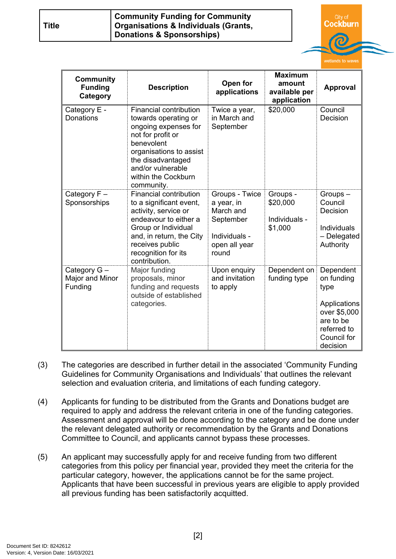| <b>Title</b> | <b>Community Funding for Community</b><br>  Organisations & Individuals (Grants, |  |
|--------------|----------------------------------------------------------------------------------|--|
|              | Donations & Sponsorships)                                                        |  |

Cockburn

|                                                |                                                                                                                                                                                                                         |                                                                                                   |                                                          | wetlands to waves                                                                                                      |
|------------------------------------------------|-------------------------------------------------------------------------------------------------------------------------------------------------------------------------------------------------------------------------|---------------------------------------------------------------------------------------------------|----------------------------------------------------------|------------------------------------------------------------------------------------------------------------------------|
| <b>Community</b><br><b>Funding</b><br>Category | <b>Description</b>                                                                                                                                                                                                      | Open for<br>applications                                                                          | <b>Maximum</b><br>amount<br>available per<br>application | <b>Approval</b>                                                                                                        |
| Category E -<br>Donations                      | Financial contribution<br>towards operating or<br>ongoing expenses for<br>not for profit or<br>benevolent<br>organisations to assist<br>the disadvantaged<br>and/or vulnerable<br>within the Cockburn<br>community.     | Twice a year,<br>in March and<br>September                                                        | \$20,000                                                 | Council<br>Decision                                                                                                    |
| Category $F -$<br>Sponsorships                 | <b>Financial contribution</b><br>to a significant event,<br>activity, service or<br>endeavour to either a<br>Group or Individual<br>and, in return, the City<br>receives public<br>recognition for its<br>contribution. | Groups - Twice<br>a year, in<br>March and<br>September<br>Individuals -<br>open all year<br>round | Groups -<br>\$20,000<br>Individuals -<br>\$1,000         | Groups-<br>Council<br>Decision<br><b>Individuals</b><br>- Delegated<br>Authority                                       |
| Category G-<br>Major and Minor<br>Funding      | Major funding<br>proposals, minor<br>funding and requests<br>outside of established<br>categories.                                                                                                                      | Upon enquiry<br>and invitation<br>to apply                                                        | Dependent on<br>funding type                             | Dependent<br>on funding<br>type<br>Applications<br>over \$5,000<br>are to be<br>referred to<br>Council for<br>decision |

- (3) The categories are described in further detail in the associated 'Community Funding Guidelines for Community Organisations and Individuals' that outlines the relevant selection and evaluation criteria, and limitations of each funding category.
- (4) Applicants for funding to be distributed from the Grants and Donations budget are required to apply and address the relevant criteria in one of the funding categories. Assessment and approval will be done according to the category and be done under the relevant delegated authority or recommendation by the Grants and Donations Committee to Council, and applicants cannot bypass these processes.
- (5) An applicant may successfully apply for and receive funding from two different categories from this policy per financial year, provided they meet the criteria for the particular category, however, the applications cannot be for the same project. Applicants that have been successful in previous years are eligible to apply provided all previous funding has been satisfactorily acquitted.